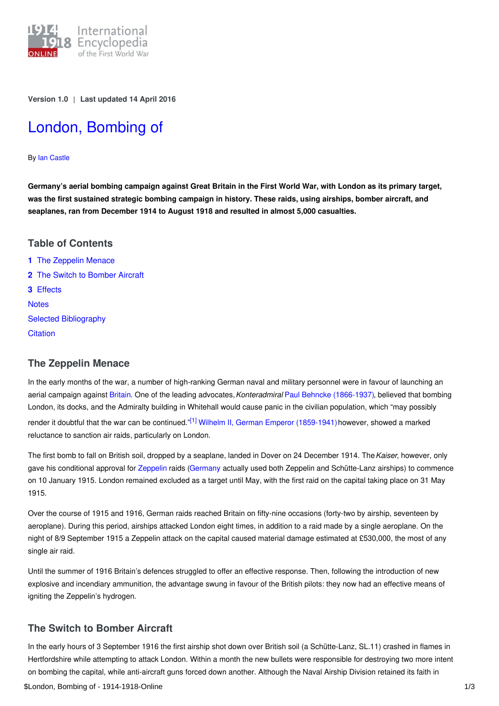

**Version 1.0** | **Last updated 14 April 2016**

# London, [Bombing](https://encyclopedia.1914-1918-online.net/article/london_bombing_of) of

By Ian [Castle](https://encyclopedia.1914-1918-online.net/contributors/Ian_Castle)

Germany's aerial bombing campaign against Great Britain in the First World War, with London as its primary target, **was the first sustained strategic bombing campaign in history. These raids, using airships, bomber aircraft, and seaplanes, ran from December 1914 to August 1918 and resulted in almost 5,000 casualties.**

## **Table of Contents**

**1** The [Zeppelin](#page-0-0) Menace **2** The Switch to [Bomber](#page-0-1) Aircraft **3** [Effects](#page-1-0) **[Notes](#page-1-1)** Selected [Bibliography](#page-1-2) **[Citation](#page-1-3)** 

# <span id="page-0-0"></span>**The Zeppelin Menace**

In the early months of the war, a number of high-ranking German naval and military personnel were in favour of launching an aerial campaign against [Britain](http://ui:CeDiS1418@encyclopedia.1914-1918-online.net/article/great_britain). One of the leading advocates,*Konteradmiral* Paul Behncke [\(1866-1937\)](http://ui:CeDiS1418@encyclopedia.1914-1918-online.net/index/names/117759872), believed that bombing London, its docks, and the Admiralty building in Whitehall would cause panic in the civilian population, which "may possibly render it doubtful that the war can be continued."<sup>[\[1\]](#page-1-4)</sup> Wilhelm II, German Emperor [\(1859-1941\)](http://ui:CeDiS1418@encyclopedia.1914-1918-online.net/index/names/118632892) however, showed a marked reluctance to sanction air raids, particularly on London.

<span id="page-0-2"></span>The first bomb to fall on British soil, dropped by a seaplane, landed in Dover on 24 December 1914. The*Kaiser*, however, only gave his conditional approval for [Zeppelin](http://ui:CeDiS1418@encyclopedia.1914-1918-online.net/article/zeppelin_airship) raids [\(Germany](http://ui:CeDiS1418@encyclopedia.1914-1918-online.net/article/germany) actually used both Zeppelin and Schütte-Lanz airships) to commence on 10 January 1915. London remained excluded as a target until May, with the first raid on the capital taking place on 31 May 1915.

Over the course of 1915 and 1916, German raids reached Britain on fifty-nine occasions (forty-two by airship, seventeen by aeroplane). During this period, airships attacked London eight times, in addition to a raid made by a single aeroplane. On the night of 8/9 September 1915 a Zeppelin attack on the capital caused material damage estimated at £530,000, the most of any single air raid.

Until the summer of 1916 Britain's defences struggled to offer an effective response. Then, following the introduction of new explosive and incendiary ammunition, the advantage swung in favour of the British pilots: they now had an effective means of igniting the Zeppelin's hydrogen.

# <span id="page-0-1"></span>**The Switch to Bomber Aircraft**

In the early hours of 3 September 1916 the first airship shot down over British soil (a Schütte-Lanz, SL.11) crashed in flames in Hertfordshire while attempting to attack London. Within a month the new bullets were responsible for destroying two more intent on bombing the capital, while anti-aircraft guns forced down another. Although the Naval Airship Division retained its faith in \$London, Bombing of - 1914-1918-Online 1/3